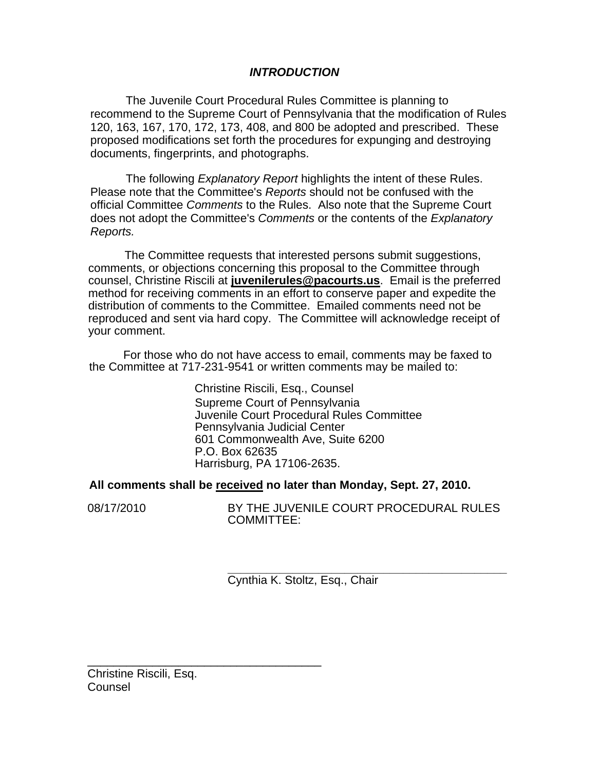# *INTRODUCTION*

The Juvenile Court Procedural Rules Committee is planning to recommend to the Supreme Court of Pennsylvania that the modification of Rules 120, 163, 167, 170, 172, 173, 408, and 800 be adopted and prescribed. These proposed modifications set forth the procedures for expunging and destroying documents, fingerprints, and photographs.

The following *Explanatory Report* highlights the intent of these Rules. Please note that the Committee's *Reports* should not be confused with the official Committee *Comments* to the Rules. Also note that the Supreme Court does not adopt the Committee's *Comments* or the contents of the *Explanatory Reports.* 

The Committee requests that interested persons submit suggestions, comments, or objections concerning this proposal to the Committee through counsel, Christine Riscili at **juvenilerules@pacourts.us**. Email is the preferred method for receiving comments in an effort to conserve paper and expedite the distribution of comments to the Committee. Emailed comments need not be reproduced and sent via hard copy. The Committee will acknowledge receipt of your comment.

I For those who do not have access to email, comments may be faxed to the Committee at 717-231-9541 or written comments may be mailed to:

> Christine Riscili, Esq., Counsel Supreme Court of Pennsylvania Juvenile Court Procedural Rules Committee Pennsylvania Judicial Center 601 Commonwealth Ave, Suite 6200 P.O. Box 62635 Harrisburg, PA 17106-2635.

# **All comments shall be received no later than Monday, Sept. 27, 2010.**

08/17/2010 BY THE JUVENILE COURT PROCEDURAL RULES COMMITTEE:

> **\_\_\_\_\_\_\_\_\_\_\_\_\_\_\_\_\_\_\_\_\_\_\_\_\_\_\_\_\_\_\_\_\_\_\_\_\_\_\_\_\_\_\_**  Cynthia K. Stoltz, Esq., Chair

Christine Riscili, Esq. Counsel

\_\_\_\_\_\_\_\_\_\_\_\_\_\_\_\_\_\_\_\_\_\_\_\_\_\_\_\_\_\_\_\_\_\_\_\_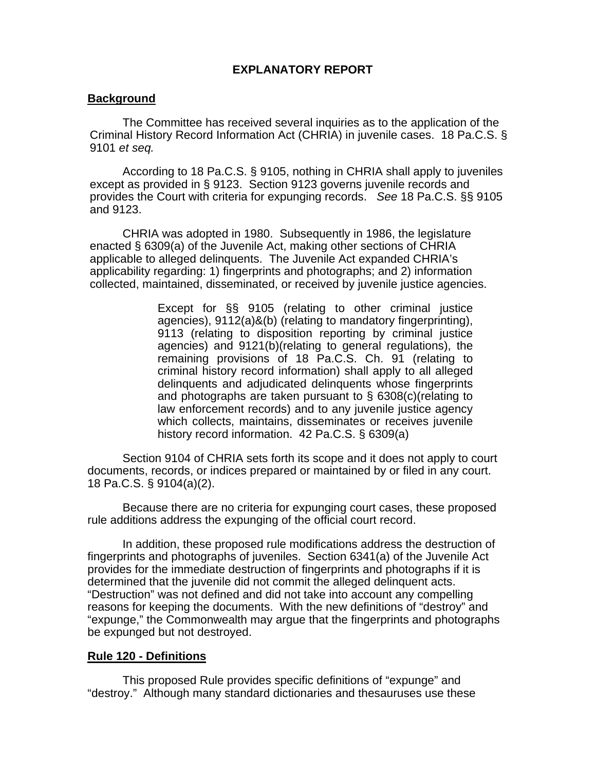# **EXPLANATORY REPORT**

# **Background**

The Committee has received several inquiries as to the application of the Criminal History Record Information Act (CHRIA) in juvenile cases. 18 Pa.C.S. § 9101 *et seq.* 

According to 18 Pa.C.S. § 9105, nothing in CHRIA shall apply to juveniles except as provided in § 9123. Section 9123 governs juvenile records and provides the Court with criteria for expunging records. *See* 18 Pa.C.S. §§ 9105 and 9123.

CHRIA was adopted in 1980. Subsequently in 1986, the legislature enacted § 6309(a) of the Juvenile Act, making other sections of CHRIA applicable to alleged delinquents. The Juvenile Act expanded CHRIA's applicability regarding: 1) fingerprints and photographs; and 2) information collected, maintained, disseminated, or received by juvenile justice agencies.

> Except for §§ 9105 (relating to other criminal justice agencies), 9112(a)&(b) (relating to mandatory fingerprinting), 9113 (relating to disposition reporting by criminal justice agencies) and 9121(b)(relating to general regulations), the remaining provisions of 18 Pa.C.S. Ch. 91 (relating to criminal history record information) shall apply to all alleged delinquents and adjudicated delinquents whose fingerprints and photographs are taken pursuant to § 6308(c)(relating to law enforcement records) and to any juvenile justice agency which collects, maintains, disseminates or receives juvenile history record information. 42 Pa.C.S. § 6309(a)

Section 9104 of CHRIA sets forth its scope and it does not apply to court documents, records, or indices prepared or maintained by or filed in any court. 18 Pa.C.S. § 9104(a)(2).

Because there are no criteria for expunging court cases, these proposed rule additions address the expunging of the official court record.

In addition, these proposed rule modifications address the destruction of fingerprints and photographs of juveniles. Section 6341(a) of the Juvenile Act provides for the immediate destruction of fingerprints and photographs if it is determined that the juvenile did not commit the alleged delinquent acts. "Destruction" was not defined and did not take into account any compelling reasons for keeping the documents. With the new definitions of "destroy" and "expunge," the Commonwealth may argue that the fingerprints and photographs be expunged but not destroyed.

# **Rule 120 - Definitions**

 This proposed Rule provides specific definitions of "expunge" and "destroy." Although many standard dictionaries and thesauruses use these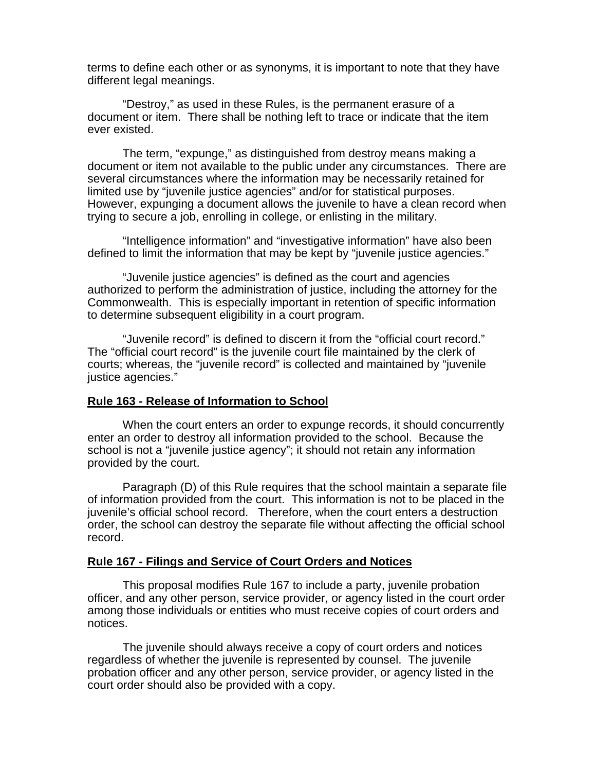terms to define each other or as synonyms, it is important to note that they have different legal meanings.

 "Destroy," as used in these Rules, is the permanent erasure of a document or item. There shall be nothing left to trace or indicate that the item ever existed.

 The term, "expunge," as distinguished from destroy means making a document or item not available to the public under any circumstances. There are several circumstances where the information may be necessarily retained for limited use by "juvenile justice agencies" and/or for statistical purposes. However, expunging a document allows the juvenile to have a clean record when trying to secure a job, enrolling in college, or enlisting in the military.

 "Intelligence information" and "investigative information" have also been defined to limit the information that may be kept by "juvenile justice agencies."

 "Juvenile justice agencies" is defined as the court and agencies authorized to perform the administration of justice, including the attorney for the Commonwealth. This is especially important in retention of specific information to determine subsequent eligibility in a court program.

 "Juvenile record" is defined to discern it from the "official court record." The "official court record" is the juvenile court file maintained by the clerk of courts; whereas, the "juvenile record" is collected and maintained by "juvenile justice agencies."

# **Rule 163 - Release of Information to School**

 When the court enters an order to expunge records, it should concurrently enter an order to destroy all information provided to the school. Because the school is not a "juvenile justice agency"; it should not retain any information provided by the court.

Paragraph (D) of this Rule requires that the school maintain a separate file of information provided from the court. This information is not to be placed in the juvenile's official school record. Therefore, when the court enters a destruction order, the school can destroy the separate file without affecting the official school record.

# **Rule 167 - Filings and Service of Court Orders and Notices**

 This proposal modifies Rule 167 to include a party, juvenile probation officer, and any other person, service provider, or agency listed in the court order among those individuals or entities who must receive copies of court orders and notices.

The juvenile should always receive a copy of court orders and notices regardless of whether the juvenile is represented by counsel. The juvenile probation officer and any other person, service provider, or agency listed in the court order should also be provided with a copy.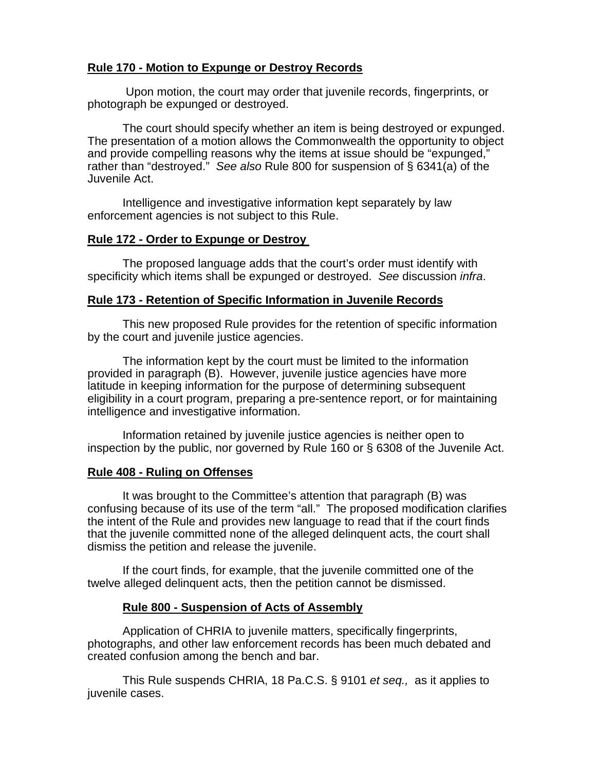# **Rule 170 - Motion to Expunge or Destroy Records**

 Upon motion, the court may order that juvenile records, fingerprints, or photograph be expunged or destroyed.

 The court should specify whether an item is being destroyed or expunged. The presentation of a motion allows the Commonwealth the opportunity to object and provide compelling reasons why the items at issue should be "expunged," rather than "destroyed." *See also* Rule 800 for suspension of § 6341(a) of the Juvenile Act.

 Intelligence and investigative information kept separately by law enforcement agencies is not subject to this Rule.

# **Rule 172 - Order to Expunge or Destroy**

 The proposed language adds that the court's order must identify with specificity which items shall be expunged or destroyed. *See* discussion *infra*.

### **Rule 173 - Retention of Specific Information in Juvenile Records**

This new proposed Rule provides for the retention of specific information by the court and juvenile justice agencies.

 The information kept by the court must be limited to the information provided in paragraph (B). However, juvenile justice agencies have more latitude in keeping information for the purpose of determining subsequent eligibility in a court program, preparing a pre-sentence report, or for maintaining intelligence and investigative information.

 Information retained by juvenile justice agencies is neither open to inspection by the public, nor governed by Rule 160 or § 6308 of the Juvenile Act.

# **Rule 408 - Ruling on Offenses**

 It was brought to the Committee's attention that paragraph (B) was confusing because of its use of the term "all." The proposed modification clarifies the intent of the Rule and provides new language to read that if the court finds that the juvenile committed none of the alleged delinquent acts, the court shall dismiss the petition and release the juvenile.

 If the court finds, for example, that the juvenile committed one of the twelve alleged delinquent acts, then the petition cannot be dismissed.

# **Rule 800 - Suspension of Acts of Assembly**

 Application of CHRIA to juvenile matters, specifically fingerprints, photographs, and other law enforcement records has been much debated and created confusion among the bench and bar.

This Rule suspends CHRIA, 18 Pa.C.S. § 9101 *et seq.,* as it applies to juvenile cases.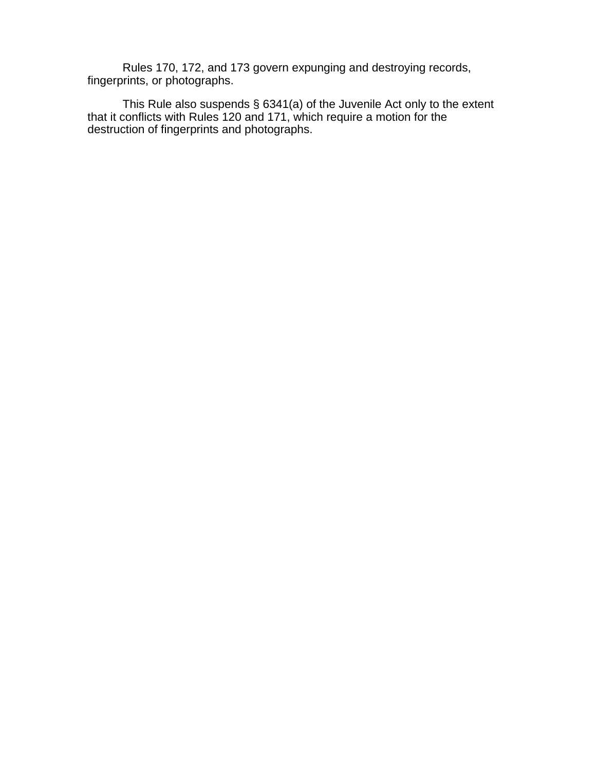Rules 170, 172, and 173 govern expunging and destroying records, fingerprints, or photographs.

This Rule also suspends § 6341(a) of the Juvenile Act only to the extent that it conflicts with Rules 120 and 171, which require a motion for the destruction of fingerprints and photographs.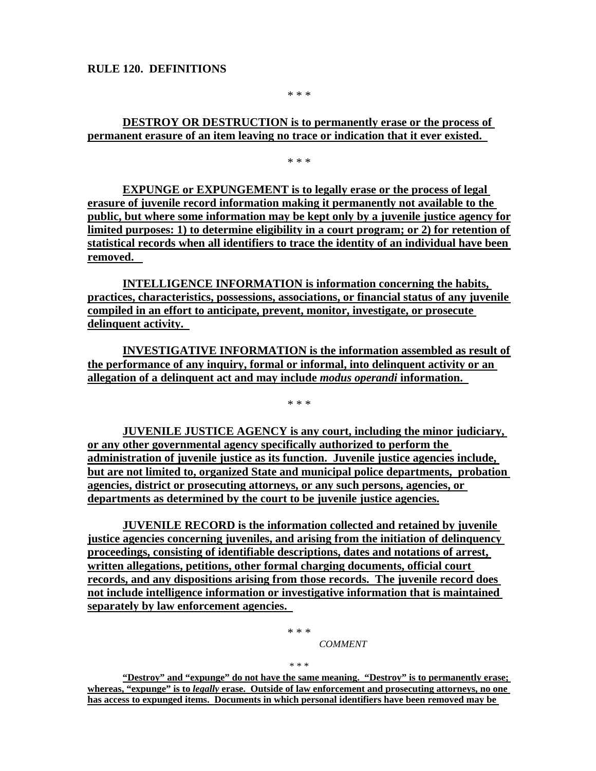\* \* \*

# **DESTROY OR DESTRUCTION is to permanently erase or the process of permanent erasure of an item leaving no trace or indication that it ever existed.**

\* \* \*

**EXPUNGE or EXPUNGEMENT is to legally erase or the process of legal erasure of juvenile record information making it permanently not available to the public, but where some information may be kept only by a juvenile justice agency for limited purposes: 1) to determine eligibility in a court program; or 2) for retention of statistical records when all identifiers to trace the identity of an individual have been removed.** 

**INTELLIGENCE INFORMATION is information concerning the habits, practices, characteristics, possessions, associations, or financial status of any juvenile compiled in an effort to anticipate, prevent, monitor, investigate, or prosecute delinquent activity.** 

**INVESTIGATIVE INFORMATION is the information assembled as result of the performance of any inquiry, formal or informal, into delinquent activity or an allegation of a delinquent act and may include** *modus operandi* **information.** 

**JUVENILE JUSTICE AGENCY is any court, including the minor judiciary, or any other governmental agency specifically authorized to perform the administration of juvenile justice as its function. Juvenile justice agencies include, but are not limited to, organized State and municipal police departments, probation agencies, district or prosecuting attorneys, or any such persons, agencies, or departments as determined by the court to be juvenile justice agencies.**

**JUVENILE RECORD is the information collected and retained by juvenile justice agencies concerning juveniles, and arising from the initiation of delinquency proceedings, consisting of identifiable descriptions, dates and notations of arrest, written allegations, petitions, other formal charging documents, official court records, and any dispositions arising from those records. The juvenile record does not include intelligence information or investigative information that is maintained separately by law enforcement agencies.** 

> \* \* \* *COMMENT*

\* \* \*

**"Destroy" and "expunge" do not have the same meaning. "Destroy" is to permanently erase; whereas, "expunge" is to** *legally* **erase. Outside of law enforcement and prosecuting attorneys, no one has access to expunged items. Documents in which personal identifiers have been removed may be** 

\* \* \*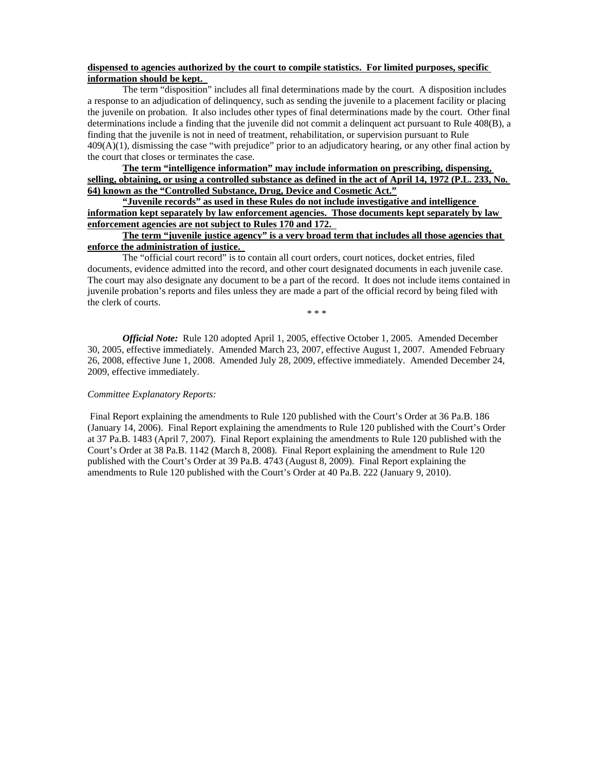#### **dispensed to agencies authorized by the court to compile statistics. For limited purposes, specific information should be kept.**

The term "disposition" includes all final determinations made by the court. A disposition includes a response to an adjudication of delinquency, such as sending the juvenile to a placement facility or placing the juvenile on probation. It also includes other types of final determinations made by the court. Other final determinations include a finding that the juvenile did not commit a delinquent act pursuant to Rule 408(B), a finding that the juvenile is not in need of treatment, rehabilitation, or supervision pursuant to Rule 409(A)(1), dismissing the case "with prejudice" prior to an adjudicatory hearing, or any other final action by the court that closes or terminates the case.

**The term "intelligence information" may include information on prescribing, dispensing, selling, obtaining, or using a controlled substance as defined in the act of April 14, 1972 (P.L. 233, No. 64) known as the "Controlled Substance, Drug, Device and Cosmetic Act."**

**"Juvenile records" as used in these Rules do not include investigative and intelligence information kept separately by law enforcement agencies. Those documents kept separately by law enforcement agencies are not subject to Rules 170 and 172.** 

### **The term "juvenile justice agency" is a very broad term that includes all those agencies that enforce the administration of justice.**

The "official court record" is to contain all court orders, court notices, docket entries, filed documents, evidence admitted into the record, and other court designated documents in each juvenile case. The court may also designate any document to be a part of the record. It does not include items contained in juvenile probation's reports and files unless they are made a part of the official record by being filed with the clerk of courts. \* \* \*

*Official Note:* Rule 120 adopted April 1, 2005, effective October 1, 2005. Amended December 30, 2005, effective immediately. Amended March 23, 2007, effective August 1, 2007. Amended February 26, 2008, effective June 1, 2008. Amended July 28, 2009, effective immediately. Amended December 24, 2009, effective immediately.

#### *Committee Explanatory Reports:*

Final Report explaining the amendments to Rule 120 published with the Court's Order at 36 Pa.B. 186 (January 14, 2006). Final Report explaining the amendments to Rule 120 published with the Court's Order at 37 Pa.B. 1483 (April 7, 2007). Final Report explaining the amendments to Rule 120 published with the Court's Order at 38 Pa.B. 1142 (March 8, 2008). Final Report explaining the amendment to Rule 120 published with the Court's Order at 39 Pa.B. 4743 (August 8, 2009). Final Report explaining the amendments to Rule 120 published with the Court's Order at 40 Pa.B. 222 (January 9, 2010).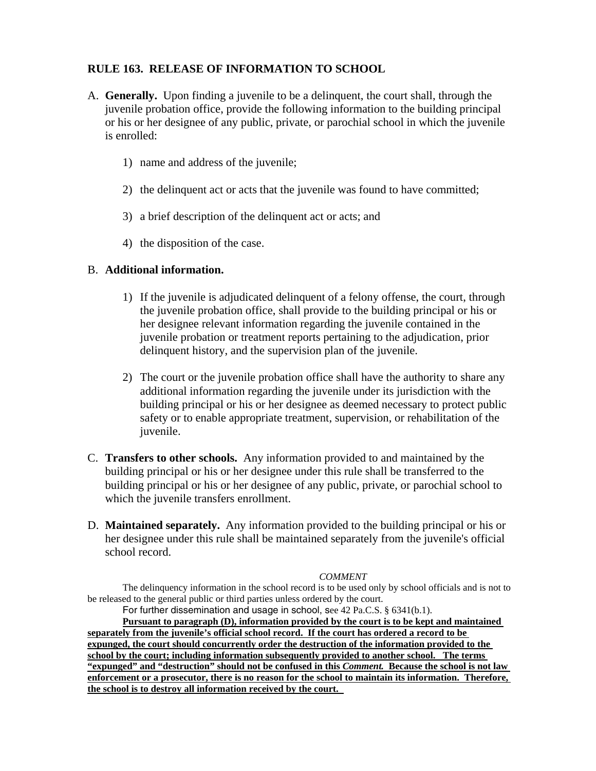# **RULE 163. RELEASE OF INFORMATION TO SCHOOL**

- A. **Generally.** Upon finding a juvenile to be a delinquent, the court shall, through the juvenile probation office, provide the following information to the building principal or his or her designee of any public, private, or parochial school in which the juvenile is enrolled:
	- 1) name and address of the juvenile;
	- 2) the delinquent act or acts that the juvenile was found to have committed;
	- 3) a brief description of the delinquent act or acts; and
	- 4) the disposition of the case.

# B. **Additional information.**

- 1) If the juvenile is adjudicated delinquent of a felony offense, the court, through the juvenile probation office, shall provide to the building principal or his or her designee relevant information regarding the juvenile contained in the juvenile probation or treatment reports pertaining to the adjudication, prior delinquent history, and the supervision plan of the juvenile.
- 2) The court or the juvenile probation office shall have the authority to share any additional information regarding the juvenile under its jurisdiction with the building principal or his or her designee as deemed necessary to protect public safety or to enable appropriate treatment, supervision, or rehabilitation of the juvenile.
- C. **Transfers to other schools.** Any information provided to and maintained by the building principal or his or her designee under this rule shall be transferred to the building principal or his or her designee of any public, private, or parochial school to which the juvenile transfers enrollment.
- D. **Maintained separately.** Any information provided to the building principal or his or her designee under this rule shall be maintained separately from the juvenile's official school record.

### *COMMENT*

The delinquency information in the school record is to be used only by school officials and is not to be released to the general public or third parties unless ordered by the court.

For further dissemination and usage in school, see 42 Pa.C.S. § 6341(b.1). **Pursuant to paragraph (D), information provided by the court is to be kept and maintained separately from the juvenile's official school record. If the court has ordered a record to be expunged, the court should concurrently order the destruction of the information provided to the school by the court; including information subsequently provided to another school. The terms "expunged" and "destruction" should not be confused in this** *Comment.* **Because the school is not law enforcement or a prosecutor, there is no reason for the school to maintain its information. Therefore,** 

**the school is to destroy all information received by the court.**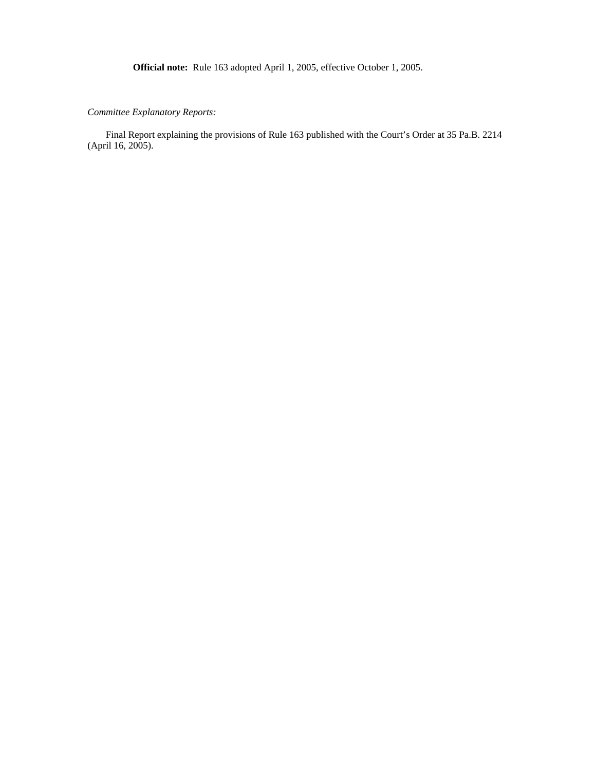**Official note:** Rule 163 adopted April 1, 2005, effective October 1, 2005.

*Committee Explanatory Reports:* 

Final Report explaining the provisions of Rule 163 published with the Court's Order at 35 Pa.B. 2214 (April 16, 2005).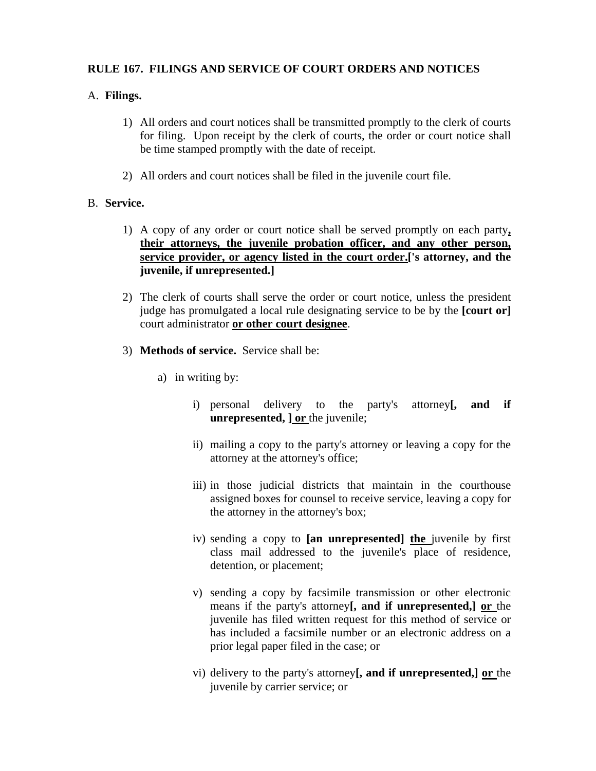# **RULE 167. FILINGS AND SERVICE OF COURT ORDERS AND NOTICES**

# A. **Filings.**

- 1) All orders and court notices shall be transmitted promptly to the clerk of courts for filing. Upon receipt by the clerk of courts, the order or court notice shall be time stamped promptly with the date of receipt.
- 2) All orders and court notices shall be filed in the juvenile court file.

# B. **Service.**

- 1) A copy of any order or court notice shall be served promptly on each party**, their attorneys, the juvenile probation officer, and any other person, service provider, or agency listed in the court order.['s attorney, and the juvenile, if unrepresented.]**
- 2) The clerk of courts shall serve the order or court notice, unless the president judge has promulgated a local rule designating service to be by the **[court or]**  court administrator **or other court designee**.
- 3) **Methods of service.** Service shall be:
	- a) in writing by:
		- i) personal delivery to the party's attorney**[, and if unrepresented, ] or** the juvenile;
		- ii) mailing a copy to the party's attorney or leaving a copy for the attorney at the attorney's office;
		- iii) in those judicial districts that maintain in the courthouse assigned boxes for counsel to receive service, leaving a copy for the attorney in the attorney's box;
		- iv) sending a copy to **[an unrepresented] the** juvenile by first class mail addressed to the juvenile's place of residence, detention, or placement;
		- v) sending a copy by facsimile transmission or other electronic means if the party's attorney**[, and if unrepresented,] or** the juvenile has filed written request for this method of service or has included a facsimile number or an electronic address on a prior legal paper filed in the case; or
		- vi) delivery to the party's attorney**[, and if unrepresented,] or** the juvenile by carrier service; or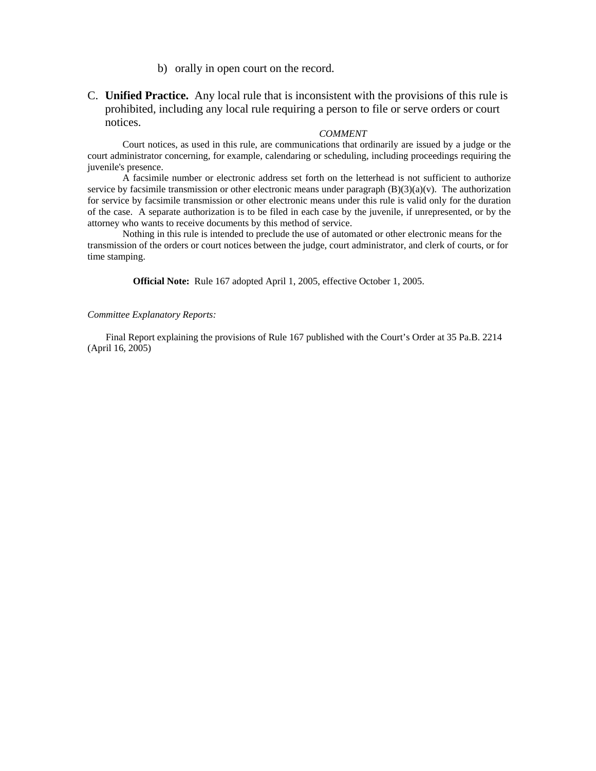b) orally in open court on the record.

C. **Unified Practice.** Any local rule that is inconsistent with the provisions of this rule is prohibited, including any local rule requiring a person to file or serve orders or court notices.

#### *COMMENT*

Court notices, as used in this rule, are communications that ordinarily are issued by a judge or the court administrator concerning, for example, calendaring or scheduling, including proceedings requiring the juvenile's presence.

A facsimile number or electronic address set forth on the letterhead is not sufficient to authorize service by facsimile transmission or other electronic means under paragraph  $(B)(3)(a)(v)$ . The authorization for service by facsimile transmission or other electronic means under this rule is valid only for the duration of the case. A separate authorization is to be filed in each case by the juvenile, if unrepresented, or by the attorney who wants to receive documents by this method of service.

Nothing in this rule is intended to preclude the use of automated or other electronic means for the transmission of the orders or court notices between the judge, court administrator, and clerk of courts, or for time stamping.

**Official Note:** Rule 167 adopted April 1, 2005, effective October 1, 2005.

#### *Committee Explanatory Reports:*

Final Report explaining the provisions of Rule 167 published with the Court's Order at 35 Pa.B. 2214 (April 16, 2005)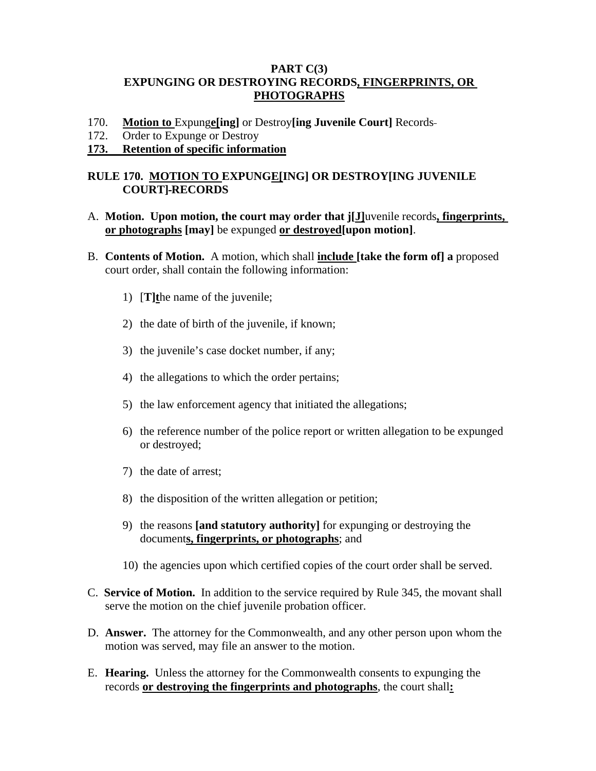# **PART C(3) EXPUNGING OR DESTROYING RECORDS, FINGERPRINTS, OR PHOTOGRAPHS**

- 170. **Motion to** Expung**e[ing]** or Destroy**[ing Juvenile Court]** Records
- 172. Order to Expunge or Destroy

## **173. Retention of specific information**

# **RULE 170. MOTION TO EXPUNGE[ING] OR DESTROY[ING JUVENILE COURT] RECORDS**

- A. **Motion. Upon motion, the court may order that j[J]**uvenile records**, fingerprints, or photographs [may]** be expunged **or destroyed[upon motion]**.
- B. **Contents of Motion.** A motion, which shall **include [take the form of] a** proposed court order, shall contain the following information:
	- 1) [**T]t**he name of the juvenile;
	- 2) the date of birth of the juvenile, if known;
	- 3) the juvenile's case docket number, if any;
	- 4) the allegations to which the order pertains;
	- 5) the law enforcement agency that initiated the allegations;
	- 6) the reference number of the police report or written allegation to be expunged or destroyed;
	- 7) the date of arrest;
	- 8) the disposition of the written allegation or petition;
	- 9) the reasons **[and statutory authority]** for expunging or destroying the document**s, fingerprints, or photographs**; and
	- 10) the agencies upon which certified copies of the court order shall be served.
- C. **Service of Motion.** In addition to the service required by Rule 345, the movant shall serve the motion on the chief juvenile probation officer.
- D. **Answer.** The attorney for the Commonwealth, and any other person upon whom the motion was served, may file an answer to the motion.
- E. **Hearing.** Unless the attorney for the Commonwealth consents to expunging the records **or destroying the fingerprints and photographs**, the court shall**:**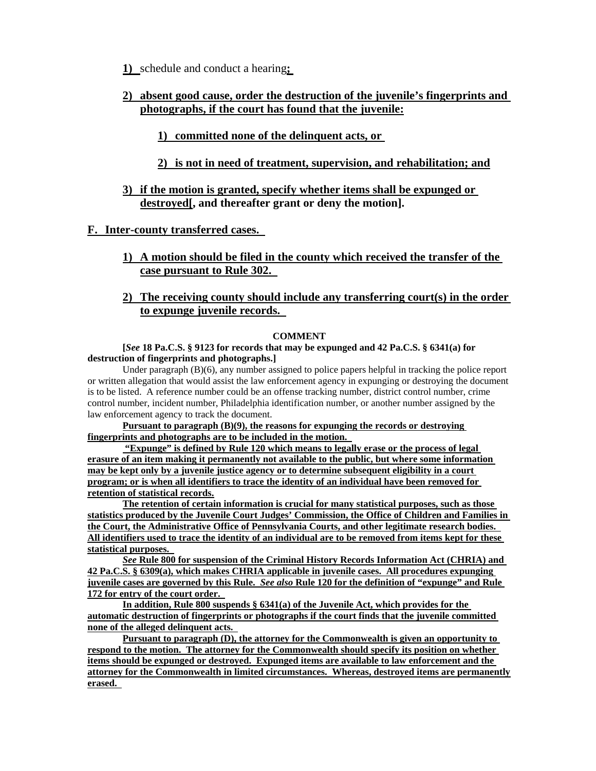**1)** schedule and conduct a hearing**;** 

**2) absent good cause, order the destruction of the juvenile's fingerprints and photographs, if the court has found that the juvenile:**

### **1) committed none of the delinquent acts, or**

- **2) is not in need of treatment, supervision, and rehabilitation; and**
- **3) if the motion is granted, specify whether items shall be expunged or destroyed[, and thereafter grant or deny the motion].**

**F. Inter-county transferred cases.** 

- **1) A motion should be filed in the county which received the transfer of the case pursuant to Rule 302.**
- **2) The receiving county should include any transferring court(s) in the order to expunge juvenile records.**

### **COMMENT**

### **[***See* **18 Pa.C.S. § 9123 for records that may be expunged and 42 Pa.C.S. § 6341(a) for destruction of fingerprints and photographs.]**

Under paragraph (B)(6), any number assigned to police papers helpful in tracking the police report or written allegation that would assist the law enforcement agency in expunging or destroying the document is to be listed. A reference number could be an offense tracking number, district control number, crime control number, incident number, Philadelphia identification number, or another number assigned by the law enforcement agency to track the document.

**Pursuant to paragraph (B)(9), the reasons for expunging the records or destroying fingerprints and photographs are to be included in the motion.** 

 **"Expunge" is defined by Rule 120 which means to legally erase or the process of legal erasure of an item making it permanently not available to the public, but where some information may be kept only by a juvenile justice agency or to determine subsequent eligibility in a court program; or is when all identifiers to trace the identity of an individual have been removed for retention of statistical records.**

**The retention of certain information is crucial for many statistical purposes, such as those statistics produced by the Juvenile Court Judges' Commission, the Office of Children and Families in the Court, the Administrative Office of Pennsylvania Courts, and other legitimate research bodies. All identifiers used to trace the identity of an individual are to be removed from items kept for these statistical purposes.** 

*See* **Rule 800 for suspension of the Criminal History Records Information Act (CHRIA) and 42 Pa.C.S. § 6309(a), which makes CHRIA applicable in juvenile cases. All procedures expunging juvenile cases are governed by this Rule.** *See also* **Rule 120 for the definition of "expunge" and Rule 172 for entry of the court order.** 

**In addition, Rule 800 suspends § 6341(a) of the Juvenile Act, which provides for the automatic destruction of fingerprints or photographs if the court finds that the juvenile committed none of the alleged delinquent acts.** 

**Pursuant to paragraph (D), the attorney for the Commonwealth is given an opportunity to respond to the motion. The attorney for the Commonwealth should specify its position on whether items should be expunged or destroyed. Expunged items are available to law enforcement and the attorney for the Commonwealth in limited circumstances. Whereas, destroyed items are permanently erased.**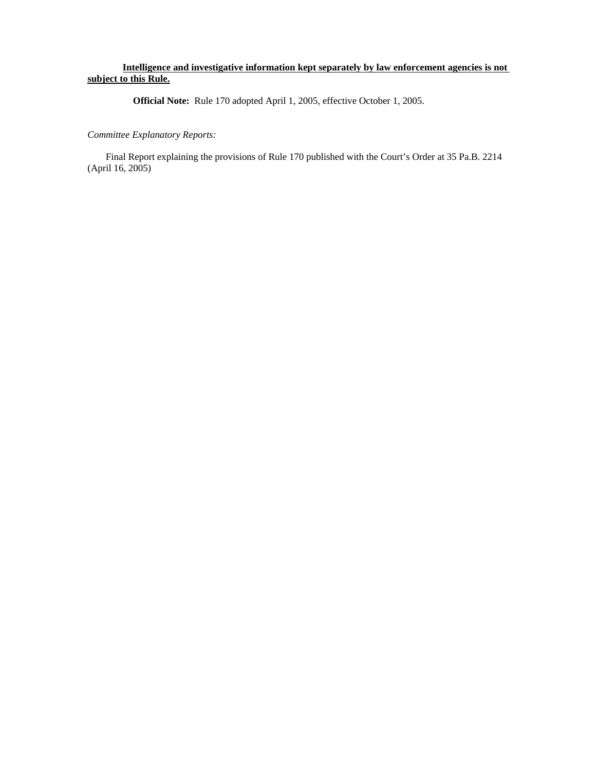### **Intelligence and investigative information kept separately by law enforcement agencies is not subject to this Rule.**

**Official Note:** Rule 170 adopted April 1, 2005, effective October 1, 2005.

### *Committee Explanatory Reports:*

Final Report explaining the provisions of Rule 170 published with the Court's Order at 35 Pa.B. 2214 (April 16, 2005)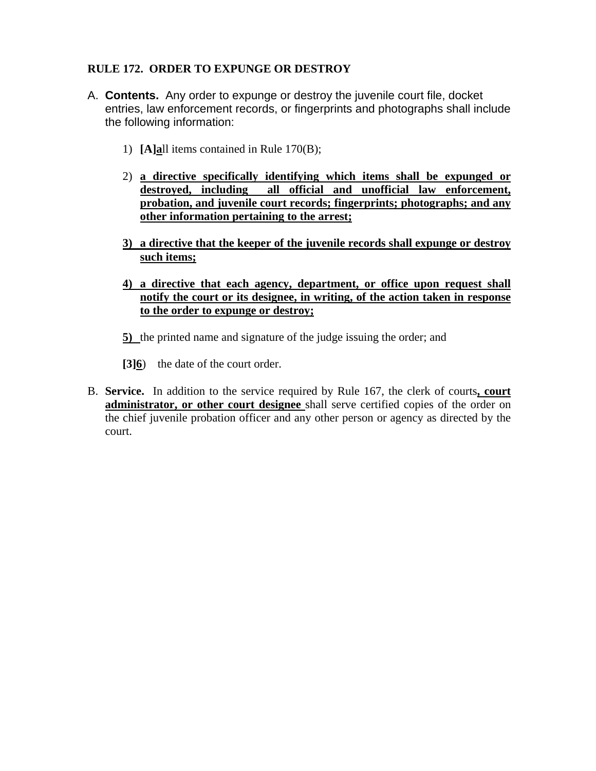# **RULE 172. ORDER TO EXPUNGE OR DESTROY**

- A. **Contents.** Any order to expunge or destroy the juvenile court file, docket entries, law enforcement records, or fingerprints and photographs shall include the following information:
	- 1) **[A]a**ll items contained in Rule 170(B);
	- 2) **a directive specifically identifying which items shall be expunged or destroyed, including all official and unofficial law enforcement, probation, and juvenile court records; fingerprints; photographs; and any other information pertaining to the arrest;**
	- **3) a directive that the keeper of the juvenile records shall expunge or destroy such items;**
	- **4) a directive that each agency, department, or office upon request shall notify the court or its designee, in writing, of the action taken in response to the order to expunge or destroy;**
	- **5)** the printed name and signature of the judge issuing the order; and
	- **[3]6**) the date of the court order.
- B. **Service.** In addition to the service required by Rule 167, the clerk of courts**, court administrator, or other court designee** shall serve certified copies of the order on the chief juvenile probation officer and any other person or agency as directed by the court.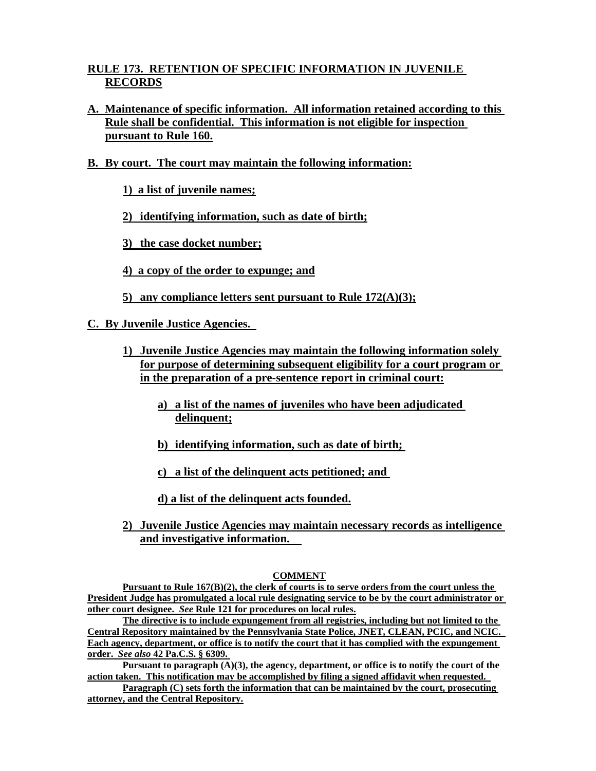# **RULE 173. RETENTION OF SPECIFIC INFORMATION IN JUVENILE RECORDS**

- **A. Maintenance of specific information. All information retained according to this Rule shall be confidential. This information is not eligible for inspection pursuant to Rule 160.**
- **B. By court. The court may maintain the following information:**
	- **1) a list of juvenile names;**
	- **2) identifying information, such as date of birth;**
	- **3) the case docket number;**
	- **4) a copy of the order to expunge; and**
	- **5) any compliance letters sent pursuant to Rule 172(A)(3);**

**C. By Juvenile Justice Agencies.** 

- **1) Juvenile Justice Agencies may maintain the following information solely for purpose of determining subsequent eligibility for a court program or in the preparation of a pre-sentence report in criminal court:**
	- **a) a list of the names of juveniles who have been adjudicated delinquent;**
	- **b) identifying information, such as date of birth;**
	- **c) a list of the delinquent acts petitioned; and**

**d) a list of the delinquent acts founded.**

**2) Juvenile Justice Agencies may maintain necessary records as intelligence and investigative information.** 

### **COMMENT**

 **Pursuant to Rule 167(B)(2), the clerk of courts is to serve orders from the court unless the President Judge has promulgated a local rule designating service to be by the court administrator or other court designee.** *See* **Rule 121 for procedures on local rules.**

**The directive is to include expungement from all registries, including but not limited to the Central Repository maintained by the Pennsylvania State Police, JNET, CLEAN, PCIC, and NCIC. Each agency, department, or office is to notify the court that it has complied with the expungement order.** *See also* **42 Pa.C.S. § 6309.** 

**Pursuant to paragraph (A)(3), the agency, department, or office is to notify the court of the action taken. This notification may be accomplished by filing a signed affidavit when requested.** 

**Paragraph (C) sets forth the information that can be maintained by the court, prosecuting attorney, and the Central Repository.**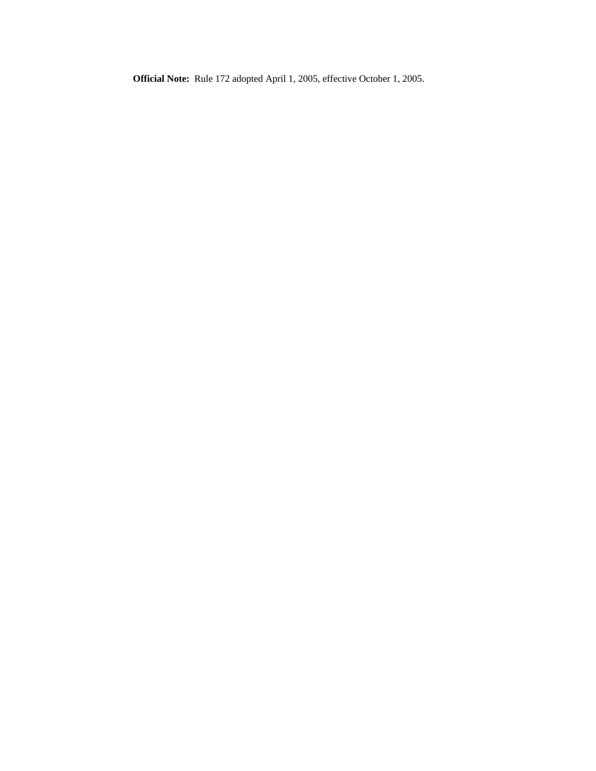**Official Note:** Rule 172 adopted April 1, 2005, effective October 1, 2005.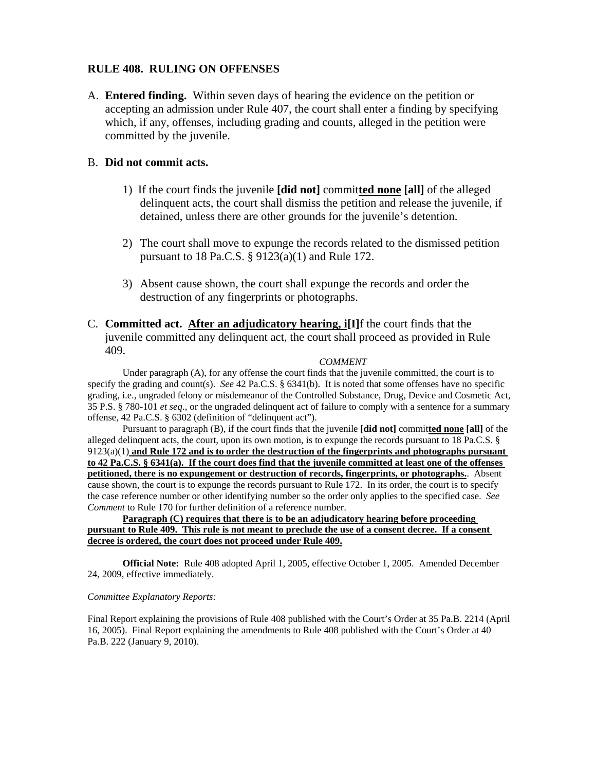# **RULE 408. RULING ON OFFENSES**

A. **Entered finding.** Within seven days of hearing the evidence on the petition or accepting an admission under Rule 407, the court shall enter a finding by specifying which, if any, offenses, including grading and counts, alleged in the petition were committed by the juvenile.

### B. **Did not commit acts.**

- 1) If the court finds the juvenile **[did not]** commit**ted none [all]** of the alleged delinquent acts, the court shall dismiss the petition and release the juvenile, if detained, unless there are other grounds for the juvenile's detention.
- 2) The court shall move to expunge the records related to the dismissed petition pursuant to 18 Pa.C.S. § 9123(a)(1) and Rule 172.
- 3) Absent cause shown, the court shall expunge the records and order the destruction of any fingerprints or photographs.
- C. **Committed act. After an adjudicatory hearing, i[I]**f the court finds that the juvenile committed any delinquent act, the court shall proceed as provided in Rule 409.

#### *COMMENT*

Under paragraph (A), for any offense the court finds that the juvenile committed, the court is to specify the grading and count(s). *See* 42 Pa.C.S. § 6341(b). It is noted that some offenses have no specific grading, i.e., ungraded felony or misdemeanor of the Controlled Substance, Drug, Device and Cosmetic Act, 35 P.S. § 780-101 *et seq.*, or the ungraded delinquent act of failure to comply with a sentence for a summary offense, 42 Pa.C.S. § 6302 (definition of "delinquent act").

Pursuant to paragraph (B), if the court finds that the juvenile **[did not]** commit**ted none [all]** of the alleged delinquent acts, the court, upon its own motion, is to expunge the records pursuant to 18 Pa.C.S. § 9123(a)(1) **and Rule 172 and is to order the destruction of the fingerprints and photographs pursuant to 42 Pa.C.S. § 6341(a). If the court does find that the juvenile committed at least one of the offenses petitioned, there is no expungement or destruction of records, fingerprints, or photographs.**. Absent cause shown, the court is to expunge the records pursuant to Rule 172. In its order, the court is to specify the case reference number or other identifying number so the order only applies to the specified case. *See Comment* to Rule 170 for further definition of a reference number.

**Paragraph (C) requires that there is to be an adjudicatory hearing before proceeding pursuant to Rule 409. This rule is not meant to preclude the use of a consent decree. If a consent decree is ordered, the court does not proceed under Rule 409.**

**Official Note:** Rule 408 adopted April 1, 2005, effective October 1, 2005. Amended December 24, 2009, effective immediately.

### *Committee Explanatory Reports:*

Final Report explaining the provisions of Rule 408 published with the Court's Order at 35 Pa.B. 2214 (April 16, 2005). Final Report explaining the amendments to Rule 408 published with the Court's Order at 40 Pa.B. 222 (January 9, 2010).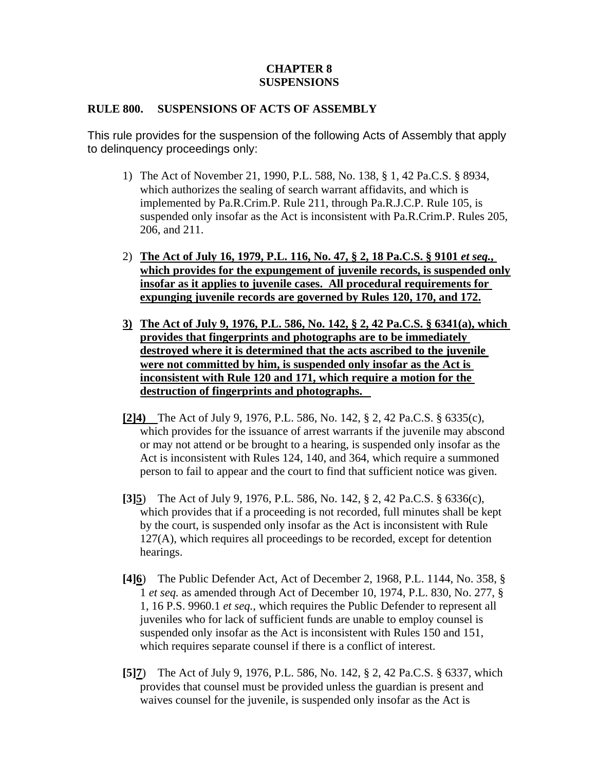# **CHAPTER 8 SUSPENSIONS**

# **RULE 800. SUSPENSIONS OF ACTS OF ASSEMBLY**

This rule provides for the suspension of the following Acts of Assembly that apply to delinquency proceedings only:

- 1) The Act of November 21, 1990, P.L. 588, No. 138, § 1, 42 Pa.C.S. § 8934, which authorizes the sealing of search warrant affidavits, and which is implemented by Pa.R.Crim.P. Rule 211, through Pa.R.J.C.P. Rule 105, is suspended only insofar as the Act is inconsistent with Pa.R.Crim.P. Rules 205, 206, and 211.
- 2) **The Act of July 16, 1979, P.L. 116, No. 47, § 2, 18 Pa.C.S. § 9101** *et seq.***, which provides for the expungement of juvenile records, is suspended only insofar as it applies to juvenile cases. All procedural requirements for expunging juvenile records are governed by Rules 120, 170, and 172.**
- **3) The Act of July 9, 1976, P.L. 586, No. 142, § 2, 42 Pa.C.S. § 6341(a), which provides that fingerprints and photographs are to be immediately destroyed where it is determined that the acts ascribed to the juvenile were not committed by him, is suspended only insofar as the Act is inconsistent with Rule 120 and 171, which require a motion for the destruction of fingerprints and photographs.**
- **[2]4)** The Act of July 9, 1976, P.L. 586, No. 142, § 2, 42 Pa.C.S. § 6335(c), which provides for the issuance of arrest warrants if the juvenile may abscond or may not attend or be brought to a hearing, is suspended only insofar as the Act is inconsistent with Rules 124, 140, and 364, which require a summoned person to fail to appear and the court to find that sufficient notice was given.
- **[3]5**) The Act of July 9, 1976, P.L. 586, No. 142, § 2, 42 Pa.C.S. § 6336(c), which provides that if a proceeding is not recorded, full minutes shall be kept by the court, is suspended only insofar as the Act is inconsistent with Rule 127(A), which requires all proceedings to be recorded, except for detention hearings.
- **[4]6**) The Public Defender Act, Act of December 2, 1968, P.L. 1144, No. 358, § 1 *et seq.* as amended through Act of December 10, 1974, P.L. 830, No. 277, § 1, 16 P.S. 9960.1 *et seq.*, which requires the Public Defender to represent all juveniles who for lack of sufficient funds are unable to employ counsel is suspended only insofar as the Act is inconsistent with Rules 150 and 151, which requires separate counsel if there is a conflict of interest.
- **[5]7**) The Act of July 9, 1976, P.L. 586, No. 142, § 2, 42 Pa.C.S. § 6337, which provides that counsel must be provided unless the guardian is present and waives counsel for the juvenile, is suspended only insofar as the Act is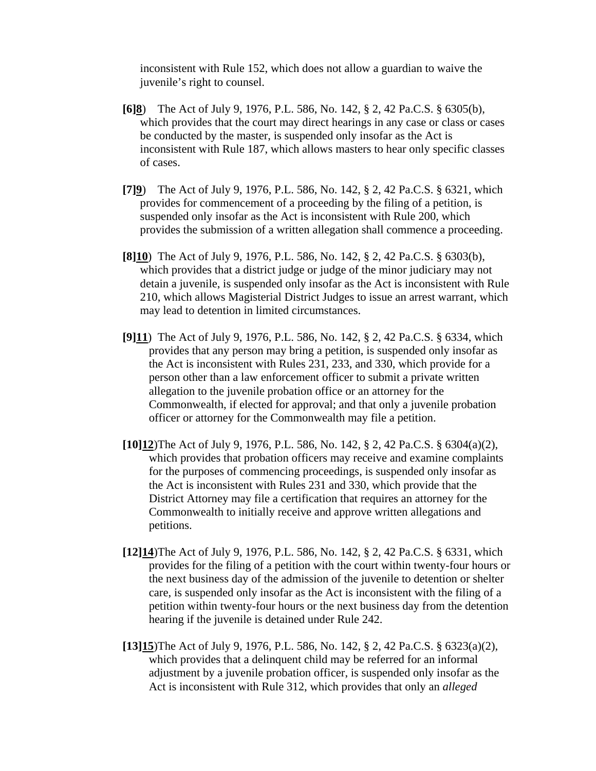inconsistent with Rule 152, which does not allow a guardian to waive the juvenile's right to counsel.

- **[6]8**) The Act of July 9, 1976, P.L. 586, No. 142, § 2, 42 Pa.C.S. § 6305(b), which provides that the court may direct hearings in any case or class or cases be conducted by the master, is suspended only insofar as the Act is inconsistent with Rule 187, which allows masters to hear only specific classes of cases.
- **[7]9**) The Act of July 9, 1976, P.L. 586, No. 142, § 2, 42 Pa.C.S. § 6321, which provides for commencement of a proceeding by the filing of a petition, is suspended only insofar as the Act is inconsistent with Rule 200, which provides the submission of a written allegation shall commence a proceeding.
- **[8]10**) The Act of July 9, 1976, P.L. 586, No. 142, § 2, 42 Pa.C.S. § 6303(b), which provides that a district judge or judge of the minor judiciary may not detain a juvenile, is suspended only insofar as the Act is inconsistent with Rule 210, which allows Magisterial District Judges to issue an arrest warrant, which may lead to detention in limited circumstances.
- **[9]11**) The Act of July 9, 1976, P.L. 586, No. 142, § 2, 42 Pa.C.S. § 6334, which provides that any person may bring a petition, is suspended only insofar as the Act is inconsistent with Rules 231, 233, and 330, which provide for a person other than a law enforcement officer to submit a private written allegation to the juvenile probation office or an attorney for the Commonwealth, if elected for approval; and that only a juvenile probation officer or attorney for the Commonwealth may file a petition.
- **[10]12**)The Act of July 9, 1976, P.L. 586, No. 142, § 2, 42 Pa.C.S. § 6304(a)(2), which provides that probation officers may receive and examine complaints for the purposes of commencing proceedings, is suspended only insofar as the Act is inconsistent with Rules 231 and 330, which provide that the District Attorney may file a certification that requires an attorney for the Commonwealth to initially receive and approve written allegations and petitions.
- **[12]14**)The Act of July 9, 1976, P.L. 586, No. 142, § 2, 42 Pa.C.S. § 6331, which provides for the filing of a petition with the court within twenty-four hours or the next business day of the admission of the juvenile to detention or shelter care, is suspended only insofar as the Act is inconsistent with the filing of a petition within twenty-four hours or the next business day from the detention hearing if the juvenile is detained under Rule 242.
- **[13]15**)The Act of July 9, 1976, P.L. 586, No. 142, § 2, 42 Pa.C.S. § 6323(a)(2), which provides that a delinquent child may be referred for an informal adjustment by a juvenile probation officer, is suspended only insofar as the Act is inconsistent with Rule 312, which provides that only an *alleged*